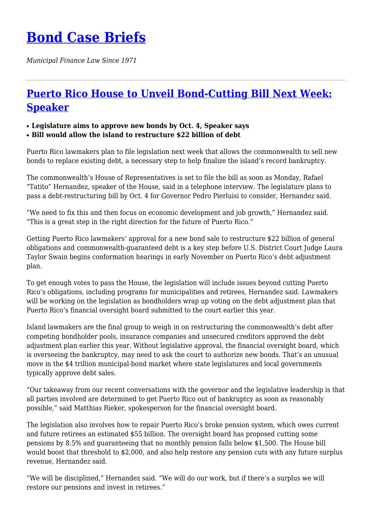## **[Bond Case Briefs](https://bondcasebriefs.com)**

*Municipal Finance Law Since 1971*

## **[Puerto Rico House to Unveil Bond-Cutting Bill Next Week:](https://bondcasebriefs.com/2021/09/28/news/puerto-rico-house-to-unveil-bond-cutting-bill-next-week-speaker/) [Speaker](https://bondcasebriefs.com/2021/09/28/news/puerto-rico-house-to-unveil-bond-cutting-bill-next-week-speaker/)**

## ● **Legislature aims to approve new bonds by Oct. 4, Speaker says**

● **Bill would allow the island to restructure \$22 billion of debt**

Puerto Rico lawmakers plan to file legislation next week that allows the commonwealth to sell new bonds to replace existing debt, a necessary step to help finalize the island's record bankruptcy.

The commonwealth's House of Representatives is set to file the bill as soon as Monday, Rafael "Tatito" Hernandez, speaker of the House, said in a telephone interview. The legislature plans to pass a debt-restructuring bill by Oct. 4 for Governor Pedro Pierluisi to consider, Hernandez said.

"We need to fix this and then focus on economic development and job growth," Hernandez said. "This is a great step in the right direction for the future of Puerto Rico."

Getting Puerto Rico lawmakers' approval for a new bond sale to restructure \$22 billion of general obligations and commonwealth-guaranteed debt is a key step before U.S. District Court Judge Laura Taylor Swain begins conformation hearings in early November on Puerto Rico's debt adjustment plan.

To get enough votes to pass the House, the legislation will include issues beyond cutting Puerto Rico's obligations, including programs for municipalities and retirees, Hernandez said. Lawmakers will be working on the legislation as bondholders wrap up voting on the debt adjustment plan that Puerto Rico's financial oversight board submitted to the court earlier this year.

Island lawmakers are the final group to weigh in on restructuring the commonwealth's debt after competing bondholder pools, insurance companies and unsecured creditors approved the debt adjustment plan earlier this year. Without legislative approval, the financial oversight board, which is overseeing the bankruptcy, may need to ask the court to authorize new bonds. That's an unusual move in the \$4 trillion municipal-bond market where state legislatures and local governments typically approve debt sales.

"Our takeaway from our recent conversations with the governor and the legislative leadership is that all parties involved are determined to get Puerto Rico out of bankruptcy as soon as reasonably possible," said Matthias Rieker, spokesperson for the financial oversight board.

The legislation also involves how to repair Puerto Rico's broke pension system, which owes current and future retirees an estimated \$55 billion. The oversight board has proposed cutting some pensions by 8.5% and guaranteeing that no monthly pension falls below \$1,500. The House bill would boost that threshold to \$2,000, and also help restore any pension cuts with any future surplus revenue, Hernandez said.

"We will be disciplined," Hernandez said. "We will do our work, but if there's a surplus we will restore our pensions and invest in retirees."